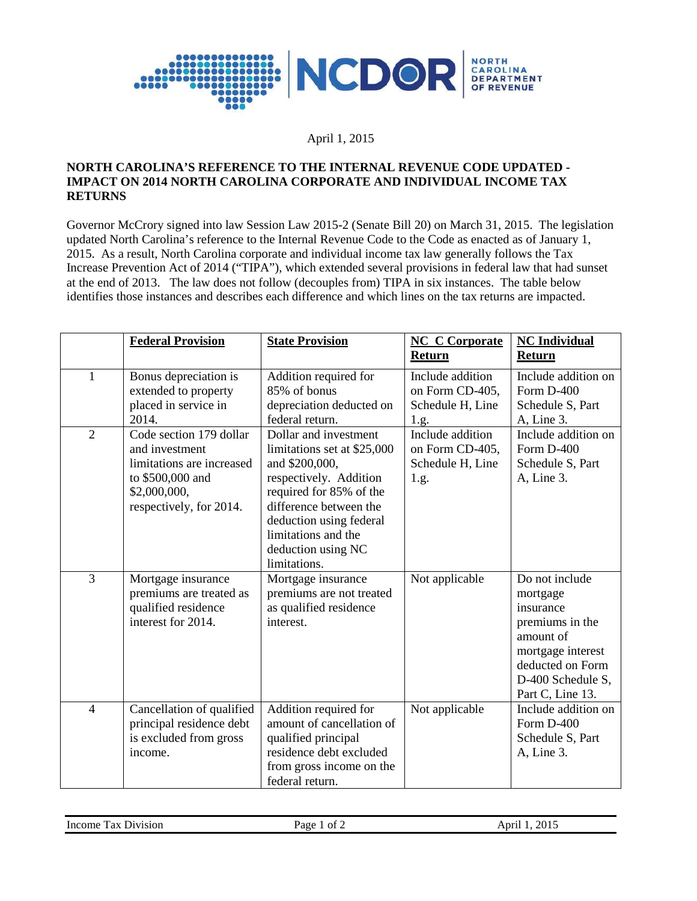

## April 1, 2015

## **NORTH CAROLINA'S REFERENCE TO THE INTERNAL REVENUE CODE UPDATED - IMPACT ON 2014 NORTH CAROLINA CORPORATE AND INDIVIDUAL INCOME TAX RETURNS**

Governor McCrory signed into law Session Law 2015-2 (Senate Bill 20) on March 31, 2015. The legislation updated North Carolina's reference to the Internal Revenue Code to the Code as enacted as of January 1, 2015. As a result, North Carolina corporate and individual income tax law generally follows the Tax Increase Prevention Act of 2014 ("TIPA"), which extended several provisions in federal law that had sunset at the end of 2013. The law does not follow (decouples from) TIPA in six instances. The table below identifies those instances and describes each difference and which lines on the tax returns are impacted.

|                | <b>Federal Provision</b>                                                                                                              | <b>State Provision</b>                                                                                                                                                                                                                        | <b>NC C Corporate</b><br>Return                                 | <b>NC</b> Individual<br>Return                                                                                                                            |
|----------------|---------------------------------------------------------------------------------------------------------------------------------------|-----------------------------------------------------------------------------------------------------------------------------------------------------------------------------------------------------------------------------------------------|-----------------------------------------------------------------|-----------------------------------------------------------------------------------------------------------------------------------------------------------|
| $\mathbf{1}$   | Bonus depreciation is<br>extended to property<br>placed in service in<br>2014.                                                        | Addition required for<br>85% of bonus<br>depreciation deducted on<br>federal return.                                                                                                                                                          | Include addition<br>on Form CD-405,<br>Schedule H, Line<br>1.g. | Include addition on<br>Form D-400<br>Schedule S, Part<br>A, Line 3.                                                                                       |
| $\overline{2}$ | Code section 179 dollar<br>and investment<br>limitations are increased<br>to \$500,000 and<br>\$2,000,000,<br>respectively, for 2014. | Dollar and investment<br>limitations set at \$25,000<br>and \$200,000,<br>respectively. Addition<br>required for 85% of the<br>difference between the<br>deduction using federal<br>limitations and the<br>deduction using NC<br>limitations. | Include addition<br>on Form CD-405,<br>Schedule H, Line<br>1.g. | Include addition on<br>Form D-400<br>Schedule S, Part<br>A, Line 3.                                                                                       |
| 3              | Mortgage insurance<br>premiums are treated as<br>qualified residence<br>interest for 2014.                                            | Mortgage insurance<br>premiums are not treated<br>as qualified residence<br>interest.                                                                                                                                                         | Not applicable                                                  | Do not include<br>mortgage<br>insurance<br>premiums in the<br>amount of<br>mortgage interest<br>deducted on Form<br>D-400 Schedule S,<br>Part C, Line 13. |
| $\overline{4}$ | Cancellation of qualified<br>principal residence debt<br>is excluded from gross<br>income.                                            | Addition required for<br>amount of cancellation of<br>qualified principal<br>residence debt excluded<br>from gross income on the<br>federal return.                                                                                           | Not applicable                                                  | Include addition on<br>Form D-400<br>Schedule S, Part<br>A, Line 3.                                                                                       |

| $\sim$<br>Income<br>rax.<br>D <sub>1</sub> v <sub>1</sub> s <sub>10</sub> n | ОĪ<br>Раое | 2015<br>۱nrı |
|-----------------------------------------------------------------------------|------------|--------------|
|                                                                             |            |              |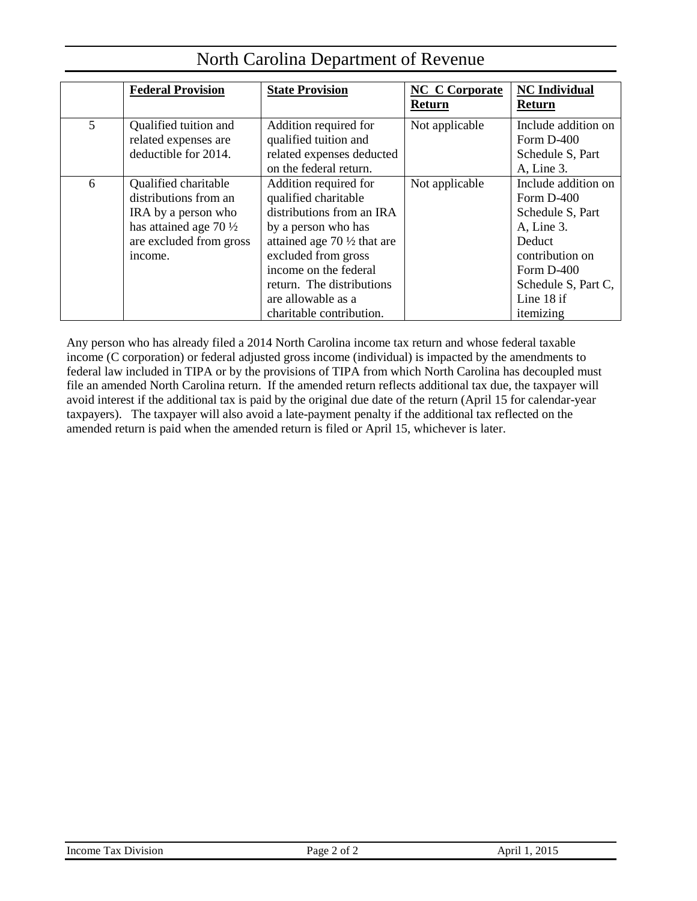|   | <b>Federal Provision</b>                                                                                                                        | <b>State Provision</b>                                                                                                                                                                                                                                                     | <b>NC</b> C Corporate<br>Return | <b>NC</b> Individual<br><b>Return</b>                                                                                                                              |
|---|-------------------------------------------------------------------------------------------------------------------------------------------------|----------------------------------------------------------------------------------------------------------------------------------------------------------------------------------------------------------------------------------------------------------------------------|---------------------------------|--------------------------------------------------------------------------------------------------------------------------------------------------------------------|
| 5 | Qualified tuition and<br>related expenses are<br>deductible for 2014.                                                                           | Addition required for<br>qualified tuition and<br>related expenses deducted<br>on the federal return.                                                                                                                                                                      | Not applicable                  | Include addition on<br>Form $D-400$<br>Schedule S, Part<br>A, Line 3.                                                                                              |
| 6 | Qualified charitable<br>distributions from an<br>IRA by a person who<br>has attained age 70 $\frac{1}{2}$<br>are excluded from gross<br>income. | Addition required for<br>qualified charitable<br>distributions from an IRA<br>by a person who has<br>attained age 70 $\frac{1}{2}$ that are<br>excluded from gross<br>income on the federal<br>return. The distributions<br>are allowable as a<br>charitable contribution. | Not applicable                  | Include addition on<br>Form D-400<br>Schedule S, Part<br>A, Line 3.<br>Deduct<br>contribution on<br>Form $D-400$<br>Schedule S, Part C,<br>Line 18 if<br>itemizing |

# North Carolina Department of Revenue

Any person who has already filed a 2014 North Carolina income tax return and whose federal taxable income (C corporation) or federal adjusted gross income (individual) is impacted by the amendments to federal law included in TIPA or by the provisions of TIPA from which North Carolina has decoupled must file an amended North Carolina return. If the amended return reflects additional tax due, the taxpayer will avoid interest if the additional tax is paid by the original due date of the return (April 15 for calendar-year taxpayers). The taxpayer will also avoid a late-payment penalty if the additional tax reflected on the amended return is paid when the amended return is filed or April 15, whichever is later.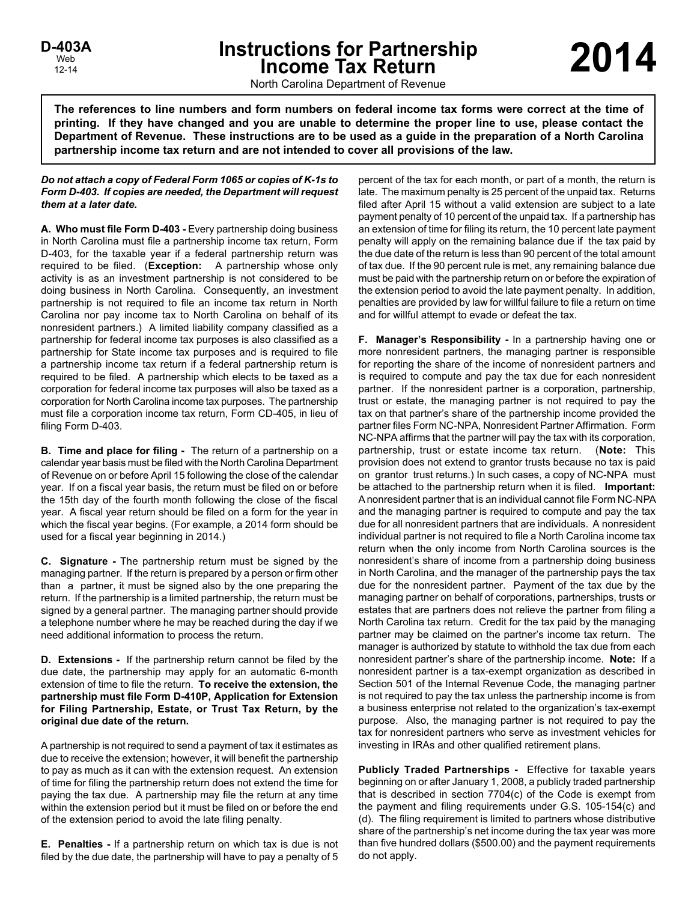# **Instructions for Partnership Income Tax Return 2014 D-403A**

North Carolina Department of Revenue

**The references to line numbers and form numbers on federal income tax forms were correct at the time of printing. If they have changed and you are unable to determine the proper line to use, please contact the Department of Revenue. These instructions are to be used as a guide in the preparation of a North Carolina partnership income tax return and are not intended to cover all provisions of the law.**

#### *Do not attach a copy of Federal Form 1065 or copies of K-1s to Form D-403. If copies are needed, the Department will request them at a later date.*

**A. Who must file Form D-403 -** Every partnership doing business in North Carolina must file a partnership income tax return, Form D-403, for the taxable year if a federal partnership return was required to be filed. (**Exception:** A partnership whose only activity is as an investment partnership is not considered to be doing business in North Carolina. Consequently, an investment partnership is not required to file an income tax return in North Carolina nor pay income tax to North Carolina on behalf of its nonresident partners.) A limited liability company classified as a partnership for federal income tax purposes is also classified as a partnership for State income tax purposes and is required to file a partnership income tax return if a federal partnership return is required to be filed. A partnership which elects to be taxed as a corporation for federal income tax purposes will also be taxed as a corporation for North Carolina income tax purposes. The partnership must file a corporation income tax return, Form CD-405, in lieu of filing Form D-403.

**B. Time and place for filing -** The return of a partnership on a calendar year basis must be filed with the North Carolina Department of Revenue on or before April 15 following the close of the calendar year. If on a fiscal year basis, the return must be filed on or before the 15th day of the fourth month following the close of the fiscal year. A fiscal year return should be filed on a form for the year in which the fiscal year begins. (For example, a 2014 form should be used for a fiscal year beginning in 2014.)

**C. Signature -** The partnership return must be signed by the managing partner. If the return is prepared by a person or firm other than a partner, it must be signed also by the one preparing the return. If the partnership is a limited partnership, the return must be signed by a general partner. The managing partner should provide a telephone number where he may be reached during the day if we need additional information to process the return.

**D. Extensions -** If the partnership return cannot be filed by the due date, the partnership may apply for an automatic 6-month extension of time to file the return. **To receive the extension, the partnership must file Form D-410P, Application for Extension for Filing Partnership, Estate, or Trust Tax Return, by the original due date of the return.**

A partnership is not required to send a payment of tax it estimates as due to receive the extension; however, it will benefit the partnership to pay as much as it can with the extension request. An extension of time for filing the partnership return does not extend the time for paying the tax due. A partnership may file the return at any time within the extension period but it must be filed on or before the end of the extension period to avoid the late filing penalty.

**E. Penalties -** If a partnership return on which tax is due is not filed by the due date, the partnership will have to pay a penalty of 5 percent of the tax for each month, or part of a month, the return is late. The maximum penalty is 25 percent of the unpaid tax. Returns filed after April 15 without a valid extension are subject to a late payment penalty of 10 percent of the unpaid tax. If a partnership has an extension of time for filing its return, the 10 percent late payment penalty will apply on the remaining balance due if the tax paid by the due date of the return is less than 90 percent of the total amount of tax due. If the 90 percent rule is met, any remaining balance due must be paid with the partnership return on or before the expiration of the extension period to avoid the late payment penalty. In addition, penalties are provided by law for willful failure to file a return on time and for willful attempt to evade or defeat the tax.

**F. Manager's Responsibility -** In a partnership having one or more nonresident partners, the managing partner is responsible for reporting the share of the income of nonresident partners and is required to compute and pay the tax due for each nonresident partner. If the nonresident partner is a corporation, partnership, trust or estate, the managing partner is not required to pay the tax on that partner's share of the partnership income provided the partner files Form NC-NPA, Nonresident Partner Affirmation. Form NC-NPA affirms that the partner will pay the tax with its corporation, partnership, trust or estate income tax return. (**Note:** This provision does not extend to grantor trusts because no tax is paid on grantor trust returns.) In such cases, a copy of NC-NPA must be attached to the partnership return when it is filed. **Important:** A nonresident partner that is an individual cannot file Form NC-NPA and the managing partner is required to compute and pay the tax due for all nonresident partners that are individuals. A nonresident individual partner is not required to file a North Carolina income tax return when the only income from North Carolina sources is the nonresident's share of income from a partnership doing business in North Carolina, and the manager of the partnership pays the tax due for the nonresident partner. Payment of the tax due by the managing partner on behalf of corporations, partnerships, trusts or estates that are partners does not relieve the partner from filing a North Carolina tax return. Credit for the tax paid by the managing partner may be claimed on the partner's income tax return. The manager is authorized by statute to withhold the tax due from each nonresident partner's share of the partnership income. **Note:** If a nonresident partner is a tax-exempt organization as described in Section 501 of the Internal Revenue Code, the managing partner is not required to pay the tax unless the partnership income is from a business enterprise not related to the organization's tax-exempt purpose. Also, the managing partner is not required to pay the tax for nonresident partners who serve as investment vehicles for investing in IRAs and other qualified retirement plans.

**Publicly Traded Partnerships -** Effective for taxable years beginning on or after January 1, 2008, a publicly traded partnership that is described in section 7704(c) of the Code is exempt from the payment and filing requirements under G.S. 105-154(c) and (d). The filing requirement is limited to partners whose distributive share of the partnership's net income during the tax year was more than five hundred dollars (\$500.00) and the payment requirements do not apply.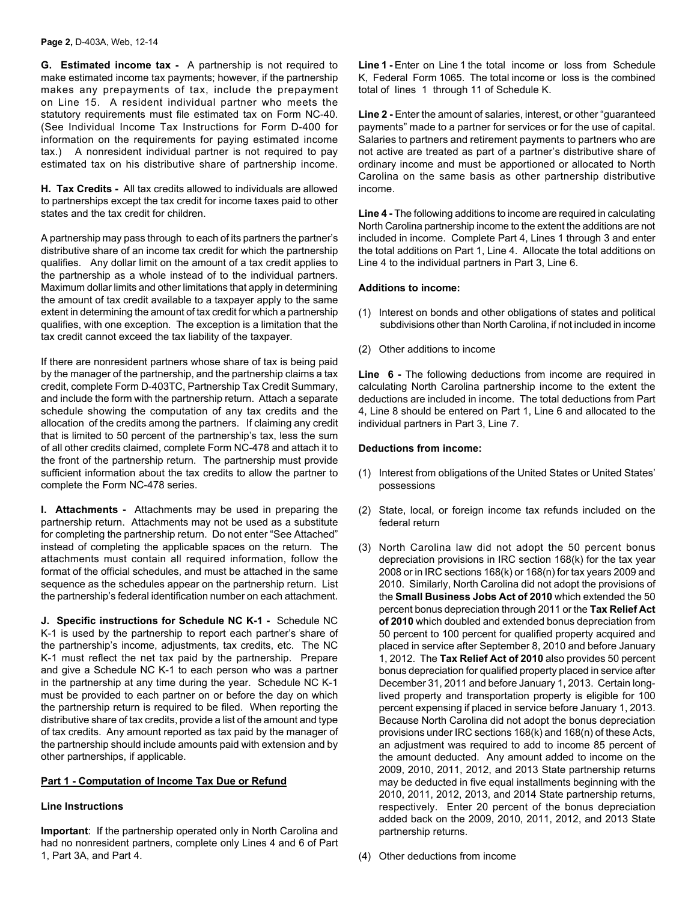**G. Estimated income tax -** A partnership is not required to make estimated income tax payments; however, if the partnership makes any prepayments of tax, include the prepayment on Line 15. A resident individual partner who meets the statutory requirements must file estimated tax on Form NC-40. (See Individual Income Tax Instructions for Form D-400 for information on the requirements for paying estimated income tax.) A nonresident individual partner is not required to pay estimated tax on his distributive share of partnership income.

**H. Tax Credits -** All tax credits allowed to individuals are allowed to partnerships except the tax credit for income taxes paid to other states and the tax credit for children.

A partnership may pass through to each of its partners the partner's distributive share of an income tax credit for which the partnership qualifies. Any dollar limit on the amount of a tax credit applies to the partnership as a whole instead of to the individual partners. Maximum dollar limits and other limitations that apply in determining the amount of tax credit available to a taxpayer apply to the same extent in determining the amount of tax credit for which a partnership qualifies, with one exception. The exception is a limitation that the tax credit cannot exceed the tax liability of the taxpayer.

If there are nonresident partners whose share of tax is being paid by the manager of the partnership, and the partnership claims a tax credit, complete Form D-403TC, Partnership Tax Credit Summary, and include the form with the partnership return. Attach a separate schedule showing the computation of any tax credits and the allocation of the credits among the partners. If claiming any credit that is limited to 50 percent of the partnership's tax, less the sum of all other credits claimed, complete Form NC-478 and attach it to the front of the partnership return. The partnership must provide sufficient information about the tax credits to allow the partner to complete the Form NC-478 series.

**I. Attachments -** Attachments may be used in preparing the partnership return. Attachments may not be used as a substitute for completing the partnership return. Do not enter "See Attached" instead of completing the applicable spaces on the return. The attachments must contain all required information, follow the format of the official schedules, and must be attached in the same sequence as the schedules appear on the partnership return. List the partnership's federal identification number on each attachment.

**J. Specific instructions for Schedule NC K-1 -** Schedule NC K-1 is used by the partnership to report each partner's share of the partnership's income, adjustments, tax credits, etc. The NC K-1 must reflect the net tax paid by the partnership. Prepare and give a Schedule NC K-1 to each person who was a partner in the partnership at any time during the year. Schedule NC K-1 must be provided to each partner on or before the day on which the partnership return is required to be filed. When reporting the distributive share of tax credits, provide a list of the amount and type of tax credits. Any amount reported as tax paid by the manager of the partnership should include amounts paid with extension and by other partnerships, if applicable.

#### **Part 1 - Computation of Income Tax Due or Refund**

#### **Line Instructions**

**Important**: If the partnership operated only in North Carolina and had no nonresident partners, complete only Lines 4 and 6 of Part 1, Part 3A, and Part 4.

**Line 1 -** Enter on Line 1 the total income or loss from Schedule K, Federal Form 1065. The total income or loss is the combined total of lines 1 through 11 of Schedule K.

Line 2 - Enter the amount of salaries, interest, or other "guaranteed" payments" made to a partner for services or for the use of capital. Salaries to partners and retirement payments to partners who are not active are treated as part of a partner's distributive share of ordinary income and must be apportioned or allocated to North Carolina on the same basis as other partnership distributive income.

**Line 4 -** The following additions to income are required in calculating North Carolina partnership income to the extent the additions are not included in income. Complete Part 4, Lines 1 through 3 and enter the total additions on Part 1, Line 4. Allocate the total additions on Line 4 to the individual partners in Part 3, Line 6.

#### **Additions to income:**

- (1) Interest on bonds and other obligations of states and political subdivisions other than North Carolina, if not included in income
- (2) Other additions to income

**Line 6 -** The following deductions from income are required in calculating North Carolina partnership income to the extent the deductions are included in income. The total deductions from Part 4, Line 8 should be entered on Part 1, Line 6 and allocated to the individual partners in Part 3, Line 7.

#### **Deductions from income:**

- (1) Interest from obligations of the United States or United States' possessions
- (2) State, local, or foreign income tax refunds included on the federal return
- (3) North Carolina law did not adopt the 50 percent bonus depreciation provisions in IRC section 168(k) for the tax year 2008 or in IRC sections 168(k) or 168(n) for tax years 2009 and 2010. Similarly, North Carolina did not adopt the provisions of the **Small Business Jobs Act of 2010** which extended the 50 percent bonus depreciation through 2011 or the **Tax Relief Act of 2010** which doubled and extended bonus depreciation from 50 percent to 100 percent for qualified property acquired and placed in service after September 8, 2010 and before January 1, 2012. The **Tax Relief Act of 2010** also provides 50 percent bonus depreciation for qualified property placed in service after December 31, 2011 and before January 1, 2013. Certain longlived property and transportation property is eligible for 100 percent expensing if placed in service before January 1, 2013. Because North Carolina did not adopt the bonus depreciation provisions under IRC sections 168(k) and 168(n) of these Acts, an adjustment was required to add to income 85 percent of the amount deducted. Any amount added to income on the 2009, 2010, 2011, 2012, and 2013 State partnership returns may be deducted in five equal installments beginning with the 2010, 2011, 2012, 2013, and 2014 State partnership returns, respectively. Enter 20 percent of the bonus depreciation added back on the 2009, 2010, 2011, 2012, and 2013 State partnership returns.
- (4) Other deductions from income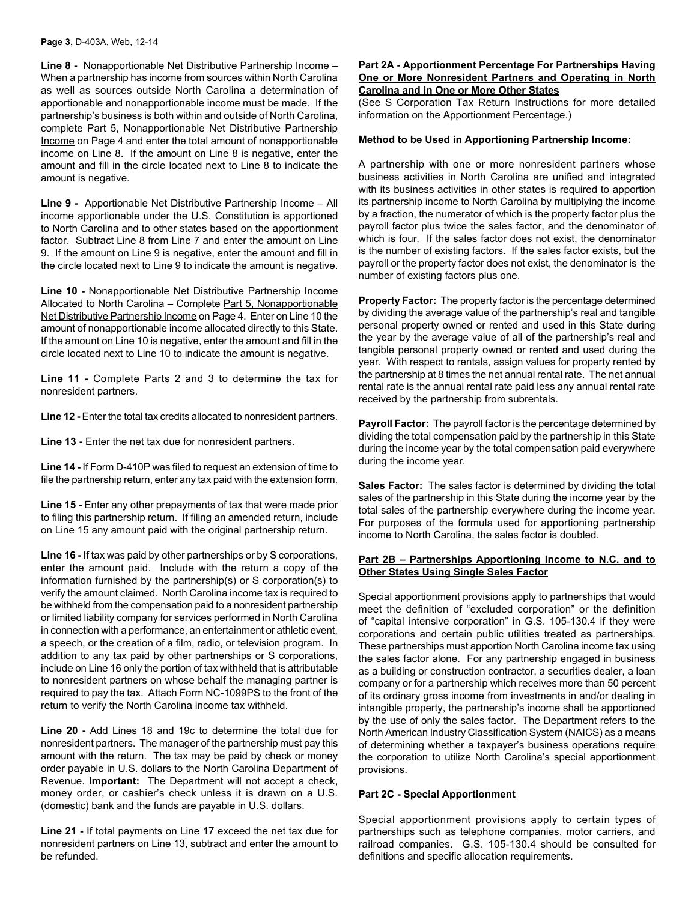**Line 8 -** Nonapportionable Net Distributive Partnership Income – When a partnership has income from sources within North Carolina as well as sources outside North Carolina a determination of apportionable and nonapportionable income must be made. If the partnership's business is both within and outside of North Carolina, complete Part 5, Nonapportionable Net Distributive Partnership Income on Page 4 and enter the total amount of nonapportionable income on Line 8. If the amount on Line 8 is negative, enter the amount and fill in the circle located next to Line 8 to indicate the amount is negative.

**Line 9 -** Apportionable Net Distributive Partnership Income – All income apportionable under the U.S. Constitution is apportioned to North Carolina and to other states based on the apportionment factor. Subtract Line 8 from Line 7 and enter the amount on Line 9. If the amount on Line 9 is negative, enter the amount and fill in the circle located next to Line 9 to indicate the amount is negative.

**Line 10 -** Nonapportionable Net Distributive Partnership Income Allocated to North Carolina – Complete Part 5, Nonapportionable Net Distributive Partnership Income on Page 4. Enter on Line 10 the amount of nonapportionable income allocated directly to this State. If the amount on Line 10 is negative, enter the amount and fill in the circle located next to Line 10 to indicate the amount is negative.

**Line 11 -** Complete Parts 2 and 3 to determine the tax for nonresident partners.

**Line 12 -** Enter the total tax credits allocated to nonresident partners.

**Line 13 -** Enter the net tax due for nonresident partners.

**Line 14 -** If Form D-410P was filed to request an extension of time to file the partnership return, enter any tax paid with the extension form.

**Line 15 -** Enter any other prepayments of tax that were made prior to filing this partnership return. If filing an amended return, include on Line 15 any amount paid with the original partnership return.

**Line 16 -** If tax was paid by other partnerships or by S corporations, enter the amount paid. Include with the return a copy of the information furnished by the partnership(s) or S corporation(s) to verify the amount claimed. North Carolina income tax is required to be withheld from the compensation paid to a nonresident partnership or limited liability company for services performed in North Carolina in connection with a performance, an entertainment or athletic event, a speech, or the creation of a film, radio, or television program. In addition to any tax paid by other partnerships or S corporations, include on Line 16 only the portion of tax withheld that is attributable to nonresident partners on whose behalf the managing partner is required to pay the tax. Attach Form NC-1099PS to the front of the return to verify the North Carolina income tax withheld.

**Line 20 -** Add Lines 18 and 19c to determine the total due for nonresident partners. The manager of the partnership must pay this amount with the return. The tax may be paid by check or money order payable in U.S. dollars to the North Carolina Department of Revenue. **Important:** The Department will not accept a check, money order, or cashier's check unless it is drawn on a U.S. (domestic) bank and the funds are payable in U.S. dollars.

**Line 21 -** If total payments on Line 17 exceed the net tax due for nonresident partners on Line 13, subtract and enter the amount to be refunded.

#### **Part 2A - Apportionment Percentage For Partnerships Having One or More Nonresident Partners and Operating in North Carolina and in One or More Other States**

(See S Corporation Tax Return Instructions for more detailed information on the Apportionment Percentage.)

#### **Method to be Used in Apportioning Partnership Income:**

A partnership with one or more nonresident partners whose business activities in North Carolina are unified and integrated with its business activities in other states is required to apportion its partnership income to North Carolina by multiplying the income by a fraction, the numerator of which is the property factor plus the payroll factor plus twice the sales factor, and the denominator of which is four. If the sales factor does not exist, the denominator is the number of existing factors. If the sales factor exists, but the payroll or the property factor does not exist, the denominator is the number of existing factors plus one.

**Property Factor:** The property factor is the percentage determined by dividing the average value of the partnership's real and tangible personal property owned or rented and used in this State during the year by the average value of all of the partnership's real and tangible personal property owned or rented and used during the year. With respect to rentals, assign values for property rented by the partnership at 8 times the net annual rental rate. The net annual rental rate is the annual rental rate paid less any annual rental rate received by the partnership from subrentals.

**Payroll Factor:** The payroll factor is the percentage determined by dividing the total compensation paid by the partnership in this State during the income year by the total compensation paid everywhere during the income year.

**Sales Factor:** The sales factor is determined by dividing the total sales of the partnership in this State during the income year by the total sales of the partnership everywhere during the income year. For purposes of the formula used for apportioning partnership income to North Carolina, the sales factor is doubled.

#### **Part 2B – Partnerships Apportioning Income to N.C. and to Other States Using Single Sales Factor**

Special apportionment provisions apply to partnerships that would meet the definition of "excluded corporation" or the definition of "capital intensive corporation" in G.S. 105-130.4 if they were corporations and certain public utilities treated as partnerships. These partnerships must apportion North Carolina income tax using the sales factor alone. For any partnership engaged in business as a building or construction contractor, a securities dealer, a loan company or for a partnership which receives more than 50 percent of its ordinary gross income from investments in and/or dealing in intangible property, the partnership's income shall be apportioned by the use of only the sales factor. The Department refers to the North American Industry Classification System (NAICS) as a means of determining whether a taxpayer's business operations require the corporation to utilize North Carolina's special apportionment provisions.

#### **Part 2C - Special Apportionment**

Special apportionment provisions apply to certain types of partnerships such as telephone companies, motor carriers, and railroad companies. G.S. 105-130.4 should be consulted for definitions and specific allocation requirements.